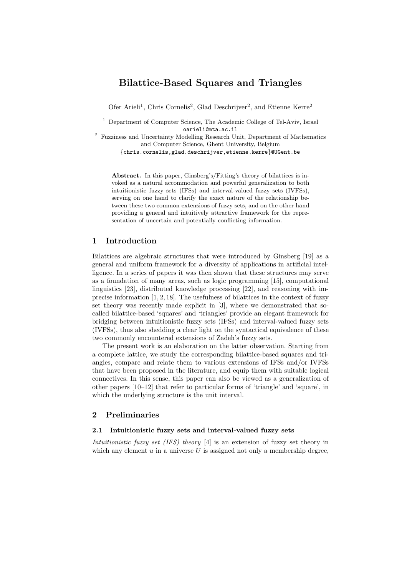# Bilattice-Based Squares and Triangles

Ofer Arieli<sup>1</sup>, Chris Cornelis<sup>2</sup>, Glad Deschrijver<sup>2</sup>, and Etienne Kerre<sup>2</sup>

<sup>1</sup> Department of Computer Science, The Academic College of Tel-Aviv, Israel oarieli@mta.ac.il

<sup>2</sup> Fuzziness and Uncertainty Modelling Research Unit, Department of Mathematics and Computer Science, Ghent University, Belgium

{chris.cornelis,glad.deschrijver,etienne.kerre}@UGent.be

Abstract. In this paper, Ginsberg's/Fitting's theory of bilattices is invoked as a natural accommodation and powerful generalization to both intuitionistic fuzzy sets (IFSs) and interval-valued fuzzy sets (IVFSs), serving on one hand to clarify the exact nature of the relationship between these two common extensions of fuzzy sets, and on the other hand providing a general and intuitively attractive framework for the representation of uncertain and potentially conflicting information.

# 1 Introduction

Bilattices are algebraic structures that were introduced by Ginsberg [19] as a general and uniform framework for a diversity of applications in artificial intelligence. In a series of papers it was then shown that these structures may serve as a foundation of many areas, such as logic programming [15], computational linguistics [23], distributed knowledge processing [22], and reasoning with imprecise information [1, 2, 18]. The usefulness of bilattices in the context of fuzzy set theory was recently made explicit in [3], where we demonstrated that socalled bilattice-based 'squares' and 'triangles' provide an elegant framework for bridging between intuitionistic fuzzy sets (IFSs) and interval-valued fuzzy sets (IVFSs), thus also shedding a clear light on the syntactical equivalence of these two commonly encountered extensions of Zadeh's fuzzy sets.

The present work is an elaboration on the latter observation. Starting from a complete lattice, we study the corresponding bilattice-based squares and triangles, compare and relate them to various extensions of IFSs and/or IVFSs that have been proposed in the literature, and equip them with suitable logical connectives. In this sense, this paper can also be viewed as a generalization of other papers [10–12] that refer to particular forms of 'triangle' and 'square', in which the underlying structure is the unit interval.

# 2 Preliminaries

### 2.1 Intuitionistic fuzzy sets and interval-valued fuzzy sets

Intuitionistic fuzzy set (IFS) theory [4] is an extension of fuzzy set theory in which any element  $u$  in a universe  $U$  is assigned not only a membership degree,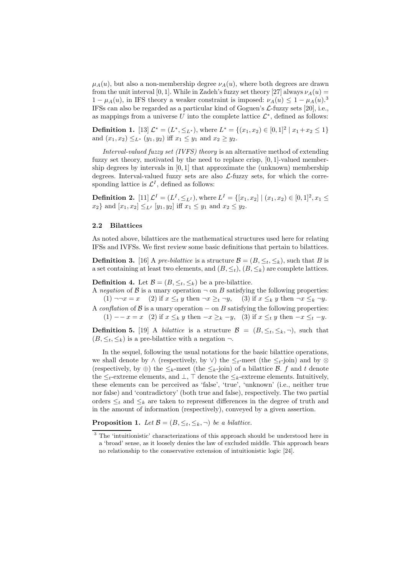$\mu_A(u)$ , but also a non-membership degree  $\nu_A(u)$ , where both degrees are drawn from the unit interval [0, 1]. While in Zadeh's fuzzy set theory [27] always  $\nu_A(u) =$  $1 - \mu_A(u)$ , in IFS theory a weaker constraint is imposed:  $\nu_A(u) \leq 1 - \mu_A(u).$ <sup>3</sup> IFSs can also be regarded as a particular kind of Goguen's L-fuzzy sets [20], i.e., as mappings from a universe U into the complete lattice  $\mathcal{L}^*$ , defined as follows:

**Definition 1.** [13]  $\mathcal{L}^* = (L^*, \leq_{L^*})$ , where  $L^* = \{(x_1, x_2) \in [0, 1]^2 \mid x_1 + x_2 \leq 1\}$ and  $(x_1, x_2) \leq_{L^*} (y_1, y_2)$  iff  $x_1 \leq y_1$  and  $x_2 \geq y_2$ .

Interval-valued fuzzy set (IVFS) theory is an alternative method of extending fuzzy set theory, motivated by the need to replace crisp, [0, 1]-valued membership degrees by intervals in  $[0, 1]$  that approximate the (unknown) membership degrees. Interval-valued fuzzy sets are also  $\mathcal{L}\text{-fuzzy sets}$ , for which the corresponding lattice is  $\mathcal{L}^{I}$ , defined as follows:

**Definition 2.** [11]  $\mathcal{L}^I = (L^I, \leq_{L^I}),$  where  $L^I = \{[x_1, x_2] \mid (x_1, x_2) \in [0, 1]^2, x_1 \leq$  $x_2$ } and  $[x_1, x_2] \leq_{L} [y_1, y_2]$  iff  $x_1 \leq y_1$  and  $x_2 \leq y_2$ .

#### 2.2 Bilattices

As noted above, bilattices are the mathematical structures used here for relating IFSs and IVFSs. We first review some basic definitions that pertain to bilattices.

**Definition 3.** [16] A pre-bilattice is a structure  $\mathcal{B} = (B, \leq_t, \leq_k)$ , such that B is a set containing at least two elements, and  $(B, \leq_t), (B, \leq_k)$  are complete lattices.

**Definition 4.** Let  $\mathcal{B} = (B, \leq_t, \leq_k)$  be a pre-bilattice.

A negation of B is a unary operation  $\neg$  on B satisfying the following properties: (1)  $\neg\neg x = x$  (2) if  $x \leq_t y$  then  $\neg x \geq_t \neg y$ , (3) if  $x \leq_k y$  then  $\neg x \leq_k \neg y$ .

A conflation of  $\beta$  is a unary operation – on B satisfying the following properties: (1) −− x = x (2) if  $x \leq_k y$  then  $-x \geq_k -y$ , (3) if  $x \leq_t y$  then  $-x \leq_t -y$ .

**Definition 5.** [19] A *bilattice* is a structure  $\mathcal{B} = (B, \leq_t, \leq_k, \neg)$ , such that  $(B, \leq_t, \leq_k)$  is a pre-bilattice with a negation  $\neg$ .

In the sequel, following the usual notations for the basic bilattice operations, we shall denote by  $\wedge$  (respectively, by  $\vee$ ) the  $\leq_t$ -meet (the  $\leq_t$ -join) and by  $\otimes$ (respectively, by ⊕) the  $\leq_k$ -meet (the  $\leq_k$ -join) of a bilattice B. f and t denote the  $\leq_t$ -extreme elements, and  $\perp$ ,  $\top$  denote the  $\leq_k$ -extreme elements. Intuitively, these elements can be perceived as 'false', 'true', 'unknown' (i.e., neither true nor false) and 'contradictory' (both true and false), respectively. The two partial orders  $\leq_t$  and  $\leq_k$  are taken to represent differences in the degree of truth and in the amount of information (respectively), conveyed by a given assertion.

**Proposition 1.** Let  $\mathcal{B} = (B, \leq_t, \leq_k, \neg)$  be a bilattice.

<sup>&</sup>lt;sup>3</sup> The 'intuitionistic' characterizations of this approach should be understood here in a 'broad' sense, as it loosely denies the law of excluded middle. This approach bears no relationship to the conservative extension of intuitionistic logic [24].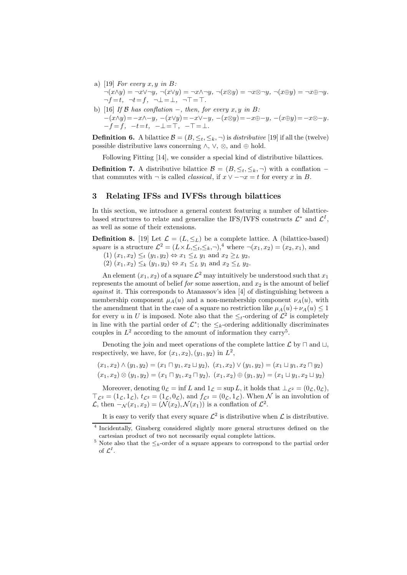- a) [19] For every  $x, y$  in B:  $\neg(x \land y) = \neg x \lor \neg y, \ \neg(x \lor y) = \neg x \land \neg y, \ \neg(x \otimes y) = \neg x \otimes \neg y, \ \neg(x \oplus y) = \neg x \oplus \neg y.$  $\neg f = t$ ,  $\neg t = f$ ,  $\neg \bot = \bot$ ,  $\neg T = \top$ .
- b) [16] If B has conflation  $-$ , then, for every x, y in B:  $-(x\wedge y)=-x\wedge-y, -(x\vee y)=-x\vee-y, -(x\otimes y)=-x\oplus-y, -(x\oplus y)=-x\otimes-y.$  $-\dot{f} = \dot{f}, -t=t, -\perp = \overline{\perp}, -\top = \perp.$

**Definition 6.** A bilattice  $\mathcal{B} = (B, \leq_t, \leq_k, \neg)$  is *distributive* [19] if all the (twelve) possible distributive laws concerning  $\land$ ,  $\lor$ ,  $\otimes$ , and  $\oplus$  hold.

Following Fitting [14], we consider a special kind of distributive bilattices.

**Definition 7.** A distributive bilattice  $\mathcal{B} = (B, \leq_t, \leq_k, \neg)$  with a conflation – that commutes with  $\neg$  is called *classical*, if  $x \lor -\neg x = t$  for every x in B.

# 3 Relating IFSs and IVFSs through bilattices

In this section, we introduce a general context featuring a number of bilatticebased structures to relate and generalize the IFS/IVFS constructs  $\mathcal{L}^*$  and  $\mathcal{L}^I$ , as well as some of their extensions.

**Definition 8.** [19] Let  $\mathcal{L} = (L, \leq_L)$  be a complete lattice. A (bilattice-based) square is a structure  $\mathcal{L}^2 = (L \times L, \leq_t, \leq_k, \neg),$ <sup>4</sup> where  $\neg(x_1, x_2) = (x_2, x_1)$ , and

- (1)  $(x_1, x_2) \leq_t (y_1, y_2) \Leftrightarrow x_1 \leq_L y_1 \text{ and } x_2 \geq_L y_2$ ,
- (2)  $(x_1, x_2) \leq_k (y_1, y_2) \Leftrightarrow x_1 \leq_L y_1 \text{ and } x_2 \leq_L y_2.$

An element  $(x_1, x_2)$  of a square  $\mathcal{L}^2$  may intuitively be understood such that  $x_1$ represents the amount of belief for some assertion, and  $x<sub>2</sub>$  is the amount of belief against it. This corresponds to Atanassov's idea [4] of distinguishing between a membership component  $\mu_A(u)$  and a non-membership component  $\nu_A(u)$ , with the amendment that in the case of a square no restriction like  $\mu_A(u)+\nu_A(u) \leq 1$ for every u in U is imposed. Note also that the  $\leq_t$ -ordering of  $\mathcal{L}^2$  is completely in line with the partial order of  $\mathcal{L}^*$ ; the  $\leq_k$ -ordering additionally discriminates couples in  $L^2$  according to the amount of information they carry<sup>5</sup>.

Denoting the join and meet operations of the complete lattice  $\mathcal L$  by  $\Box$  and  $\Box$ , respectively, we have, for  $(x_1, x_2), (y_1, y_2)$  in  $L^2$ ,

$$
(x_1, x_2) \land (y_1, y_2) = (x_1 \sqcap y_1, x_2 \sqcup y_2), (x_1, x_2) \lor (y_1, y_2) = (x_1 \sqcup y_1, x_2 \sqcap y_2)
$$

$$
(x_1, x_2) \otimes (y_1, y_2) = (x_1 \sqcap y_1, x_2 \sqcap y_2), (x_1, x_2) \oplus (y_1, y_2) = (x_1 \sqcup y_1, x_2 \sqcup y_2)
$$

Moreover, denoting  $0_L = \inf L$  and  $1_L = \sup L$ , it holds that  $\perp_{\mathcal{L}^2} = (0_L, 0_L)$ ,  $\top_{\mathcal{L}^2} = (1_{\mathcal{L}}, 1_{\mathcal{L}}), t_{\mathcal{L}^2} = (1_{\mathcal{L}}, 0_{\mathcal{L}}), \text{ and } f_{\mathcal{L}^2} = (0_{\mathcal{L}}, 1_{\mathcal{L}}).$  When  $\mathcal{N}$  is an involution of  $\mathcal{L}$ , then  $-\mathcal{N}(x_1, x_2) = (\mathcal{N}(x_2), \mathcal{N}(x_1))$  is a conflation of  $\mathcal{L}^2$ .

It is easy to verify that every square  $\mathcal{L}^2$  is distributive when  $\mathcal L$  is distributive.

<sup>4</sup> Incidentally, Ginsberg considered slightly more general structures defined on the cartesian product of two not necessarily equal complete lattices.

<sup>&</sup>lt;sup>5</sup> Note also that the  $\leq_k$ -order of a square appears to correspond to the partial order of  $\mathcal{L}^I$ .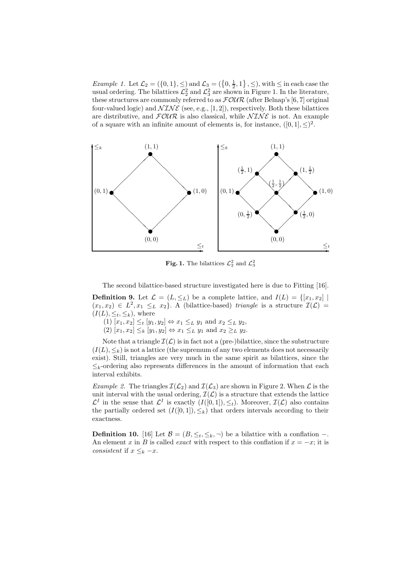*Example 1.* Let  $\mathcal{L}_2 = (\{0,1\}, \leq)$  and  $\mathcal{L}_3 = (\{0, \frac{1}{2}, 1\}, \leq)$ , with  $\leq$  in each case the usual ordering. The bilattices  $\mathcal{L}_2^2$  and  $\mathcal{L}_3^2$  are shown in Figure 1. In the literature, these structures are commonly referred to as  $\mathcal{FOUR}$  (after Belnap's [6, 7] original four-valued logic) and  $\mathcal{NINE}$  (see, e.g., [1, 2]), respectively. Both these bilattices are distributive, and  $F\mathcal{OUP}$  is also classical, while  $\mathcal{NINE}$  is not. An example of a square with an infinite amount of elements is, for instance,  $([0, 1], \leq)^2$ .



Fig. 1. The bilattices  $\mathcal{L}_2^2$  and  $\mathcal{L}_3^2$ 

The second bilattice-based structure investigated here is due to Fitting [16]. **Definition 9.** Let  $\mathcal{L} = (L, \leq_L)$  be a complete lattice, and  $I(L) = \{[x_1, x_2] \mid$  $(x_1, x_2) \in L^2, x_1 \leq_L x_2$ . A (bilattice-based) triangle is a structure  $\mathcal{I}(\mathcal{L}) =$  $(I(L), \leq_t, \leq_k)$ , where

 $(1)$   $[x_1, x_2] \leq_t [y_1, y_2] \Leftrightarrow x_1 \leq_L y_1 \text{ and } x_2 \leq_L y_2,$ 

 $(2)$   $[x_1, x_2] \leq_k [y_1, y_2] \Leftrightarrow x_1 \leq_L y_1 \text{ and } x_2 \geq_L y_2.$ 

Note that a triangle  $\mathcal{I}(\mathcal{L})$  is in fact not a (pre-)bilattice, since the substructure  $(I(L), \leq_k)$  is not a lattice (the supremum of any two elements does not necessarily exist). Still, triangles are very much in the same spirit as bilattices, since the  $\leq_k$ -ordering also represents differences in the amount of information that each interval exhibits.

*Example 2.* The triangles  $\mathcal{I}(\mathcal{L}_2)$  and  $\mathcal{I}(\mathcal{L}_3)$  are shown in Figure 2. When  $\mathcal{L}$  is the unit interval with the usual ordering,  $\mathcal{I}(\mathcal{L})$  is a structure that extends the lattice  $\mathcal{L}^I$  in the sense that  $\mathcal{L}^I$  is exactly  $(I([0,1]), \leq_t)$ . Moreover,  $\mathcal{I}(\mathcal{L})$  also contains the partially ordered set  $(I([0, 1]), \leq_k)$  that orders intervals according to their exactness.

**Definition 10.** [16] Let  $\mathcal{B} = (B, \leq_t, \leq_k, \neg)$  be a bilattice with a conflation −. An element x in B is called *exact* with respect to this conflation if  $x = -x$ ; it is consistent if  $x \leq_k -x$ .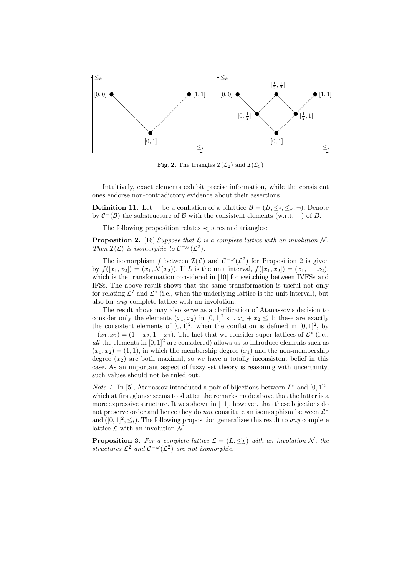

Fig. 2. The triangles  $\mathcal{I}(\mathcal{L}_2)$  and  $\mathcal{I}(\mathcal{L}_3)$ 

Intuitively, exact elements exhibit precise information, while the consistent ones endorse non-contradictory evidence about their assertions.

**Definition 11.** Let – be a conflation of a bilattice  $\mathcal{B} = (B, \leq_t, \leq_k, \neg)$ . Denote by  $C^-(\mathcal{B})$  the substructure of  $\mathcal B$  with the consistent elements (w.r.t. –) of  $B$ .

The following proposition relates squares and triangles:

**Proposition 2.** [16] Suppose that  $\mathcal{L}$  is a complete lattice with an involution  $\mathcal{N}$ . Then  $\mathcal{I}(\mathcal{L})$  is isomorphic to  $\mathcal{C}^{-\mathcal{N}}(\mathcal{L}^2)$ .

The isomorphism f between  $\mathcal{I}(\mathcal{L})$  and  $\mathcal{C}^{-N}(\mathcal{L}^2)$  for Proposition 2 is given by  $f([x_1, x_2]) = (x_1, \mathcal{N}(x_2))$ . If L is the unit interval,  $f([x_1, x_2]) = (x_1, 1-x_2)$ , which is the transformation considered in [10] for switching between IVFSs and IFSs. The above result shows that the same transformation is useful not only for relating  $\mathcal{L}^I$  and  $\mathcal{L}^*$  (i.e., when the underlying lattice is the unit interval), but also for any complete lattice with an involution.

The result above may also serve as a clarification of Atanassov's decision to consider only the elements  $(x_1, x_2)$  in  $[0, 1]^2$  s.t.  $x_1 + x_2 \leq 1$ : these are exactly the consistent elements of  $[0,1]^2$ , when the conflation is defined in  $[0,1]^2$ , by  $-(x_1, x_2) = (1 - x_2, 1 - x_1)$ . The fact that we consider super-lattices of  $\mathcal{L}^*$  (i.e., all the elements in  $[0, 1]^2$  are considered) allows us to introduce elements such as  $(x_1, x_2) = (1, 1)$ , in which the membership degree  $(x_1)$  and the non-membership degree  $(x_2)$  are both maximal, so we have a totally inconsistent belief in this case. As an important aspect of fuzzy set theory is reasoning with uncertainty, such values should not be ruled out.

*Note 1.* In [5], Atanassov introduced a pair of bijections between  $L^*$  and  $[0,1]^2$ , which at first glance seems to shatter the remarks made above that the latter is a more expressive structure. It was shown in [11], however, that these bijections do not preserve order and hence they do *not* constitute an isomorphism between  $\mathcal{L}^*$ and  $([0,1]^2, \leq_t)$ . The following proposition generalizes this result to any complete lattice  $\mathcal L$  with an involution  $\mathcal N$ .

**Proposition 3.** For a complete lattice  $\mathcal{L} = (L, \leq_L)$  with an involution N, the structures  $\mathcal{L}^2$  and  $\mathcal{C}^{-\mathcal{N}}(\mathcal{L}^2)$  are not isomorphic.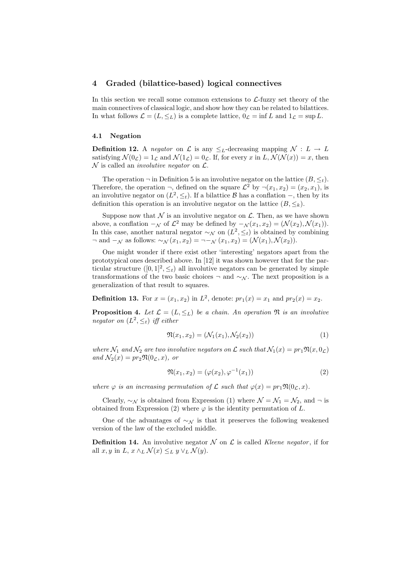## 4 Graded (bilattice-based) logical connectives

In this section we recall some common extensions to  $\mathcal{L}\text{-fuzzy set theory of the}$ main connectives of classical logic, and show how they can be related to bilattices. In what follows  $\mathcal{L} = (L, \leq_L)$  is a complete lattice,  $0_{\mathcal{L}} = \inf L$  and  $1_{\mathcal{L}} = \sup L$ .

#### 4.1 Negation

**Definition 12.** A negator on L is any  $\leq_L$ -decreasing mapping  $\mathcal{N}: L \to L$ satisfying  $\mathcal{N}(0_{\mathcal{L}}) = 1_{\mathcal{L}}$  and  $\mathcal{N}(1_{\mathcal{L}}) = 0_{\mathcal{L}}$ . If, for every x in L,  $\mathcal{N}(\mathcal{N}(x)) = x$ , then  $\mathcal N$  is called an *involutive negator* on  $\mathcal L$ .

The operation  $\neg$  in Definition 5 is an involutive negator on the lattice  $(B, \leq_t)$ . Therefore, the operation  $\neg$ , defined on the square  $\mathcal{L}^2$  by  $\neg(x_1, x_2) = (x_2, x_1)$ , is an involutive negator on  $(L^2, \leq_t)$ . If a bilattice B has a conflation –, then by its definition this operation is an involutive negator on the lattice  $(B, \leq_k)$ .

Suppose now that  $\mathcal N$  is an involutive negator on  $\mathcal L$ . Then, as we have shown above, a conflation  $-\mathcal{N}$  of  $\mathcal{L}^2$  may be defined by  $-\mathcal{N}(x_1, x_2) = (\mathcal{N}(x_2), \mathcal{N}(x_1)).$ In this case, another natural negator  $\sim_{\mathcal{N}}$  on  $(L^2, \leq_t)$  is obtained by combining  $\neg$  and  $-\mathcal{N}$  as follows:  $\sim_{\mathcal{N}}(x_1, x_2) = \neg \neg_{\mathcal{N}}(x_1, x_2) = (\mathcal{N}(x_1), \mathcal{N}(x_2)).$ 

One might wonder if there exist other 'interesting' negators apart from the prototypical ones described above. In [12] it was shown however that for the particular structure  $([0, 1]^2, \leq_t)$  all involutive negators can be generated by simple transformations of the two basic choices  $\neg$  and  $\sim \mathcal{N}$ . The next proposition is a generalization of that result to squares.

**Definition 13.** For  $x = (x_1, x_2)$  in  $L^2$ , denote:  $pr_1(x) = x_1$  and  $pr_2(x) = x_2$ .

**Proposition 4.** Let  $\mathcal{L} = (L, \leq_L)$  be a chain. An operation  $\mathfrak{N}$  is an involutive negator on  $(L^2, \leq_t)$  iff either

$$
\mathfrak{N}(x_1, x_2) = (\mathcal{N}_1(x_1), \mathcal{N}_2(x_2))
$$
\n(1)

where  $\mathcal{N}_1$  and  $\mathcal{N}_2$  are two involutive negators on  $\mathcal L$  such that  $\mathcal{N}_1(x) = pr_1\mathfrak{N}(x, 0_{\mathcal{L}})$ and  $\mathcal{N}_2(x) = pr_2 \mathfrak{N}(0_{\mathcal{L}}, x)$ , or

$$
\mathfrak{N}(x_1, x_2) = (\varphi(x_2), \varphi^{-1}(x_1))
$$
\n(2)

where  $\varphi$  is an increasing permutation of  $\mathcal L$  such that  $\varphi(x) = pr_1 \mathfrak{N}(0_\mathcal{L}, x)$ .

Clearly,  $\sim_{\mathcal{N}}$  is obtained from Expression (1) where  $\mathcal{N} = \mathcal{N}_1 = \mathcal{N}_2$ , and  $\neg$  is obtained from Expression (2) where  $\varphi$  is the identity permutation of L.

One of the advantages of  $\sim_N$  is that it preserves the following weakened version of the law of the excluded middle.

**Definition 14.** An involutive negator  $\mathcal N$  on  $\mathcal L$  is called *Kleene negator*, if for all  $x, y$  in  $L, x \wedge_L \mathcal{N}(x) \leq_L y \vee_L \mathcal{N}(y)$ .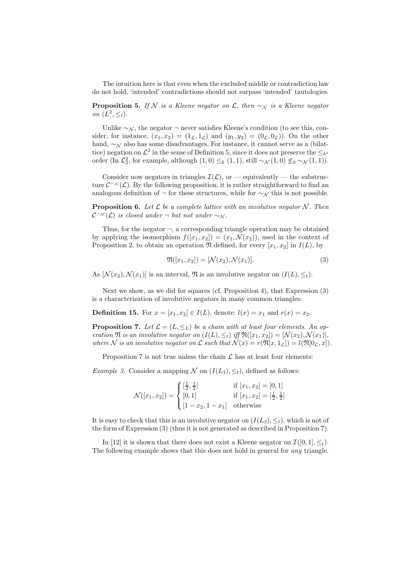The intuition here is that even when the excluded middle or contradiction law do not hold, 'intended' contradictions should not surpass 'intended' tautologies.

**Proposition 5.** If N is a Kleene negator on  $\mathcal{L}$ , then  $\sim_N$  is a Kleene negator on  $(L^2, \leq_t)$ .

Unlike  $\sim \mathcal{N}$ , the negator  $\neg$  never satisfies Kleene's condition (to see this, consider, for instance,  $(x_1, x_2) = (1_{\mathcal{L}}, 1_{\mathcal{L}})$  and  $(y_1, y_2) = (0_{\mathcal{L}}, 0_{\mathcal{L}})$ . On the other hand, ∼<sup>N</sup> also has some disadvantages. For instance, it cannot serve as a (bilattice) negation on  $\mathcal{L}^2$  in the sense of Definition 5, since it does not preserve the  $\leq_k$ order (In  $\mathcal{L}_2^2$ , for example, although  $(1,0) \leq_k (1,1)$ , still  $\sim_{\mathcal{N}} (1,0) \nleq_k \sim_{\mathcal{N}} (1,1)$ ).

Consider now negators in triangles  $\mathcal{I}(\mathcal{L})$ , or — equivalently — the substructure  $\mathcal{C}^{-\mathcal{N}}(\mathcal{L})$ . By the following proposition, it is rather straightforward to find an analogous definition of  $\neg$  for these structures, while for  $\sim_{\mathcal{N}}$  this is not possible.

**Proposition 6.** Let  $\mathcal{L}$  be a complete lattice with an involutive negator  $\mathcal{N}$ . Then  $\mathcal{C}^{-N}(\mathcal{L})$  is closed under  $\neg$  but not under  $\sim_{\mathcal{N}}$ .

Thus, for the negator  $\neg$ , a corresponding triangle operation may be obtained by applying the isomorphism  $f([x_1, x_2]) = (x_1, \mathcal{N}(x_2))$ , used in the context of Proposition 2, to obtain an operation  $\mathfrak N$  defined, for every  $[x_1, x_2]$  in  $I(L)$ , by

$$
\mathfrak{N}([x_1, x_2]) = [\mathcal{N}(x_2), \mathcal{N}(x_1)].
$$
\n(3)

As  $[\mathcal{N}(x_2), \mathcal{N}(x_1)]$  is an interval,  $\mathfrak{N}$  is an involutive negator on  $(I(L), \leq_t)$ .

Next we show, as we did for squares (cf. Proposition 4), that Expression (3) is a characterization of involutive negators in many common triangles:

**Definition 15.** For  $x = [x_1, x_2] \in I(L)$ , denote:  $l(x) = x_1$  and  $r(x) = x_2$ .

**Proposition 7.** Let  $\mathcal{L} = (L, \leq_L)$  be a chain with at least four elements. An operation  $\mathfrak N$  is an involutive negator on  $(I(L), \leq_t)$  iff  $\mathfrak N([x_1, x_2]) = [\mathcal N(x_2), \mathcal N(x_1)],$ where N is an involutive negator on L such that  $\mathcal{N}(x) = r(\mathfrak{N}[x, 1_{\mathcal{L}}]) = l(\mathfrak{N}[0_{\mathcal{L}}, x])$ .

Proposition 7 is not true unless the chain  $\mathcal L$  has at least four elements:

*Example 3.* Consider a mapping N on  $(I(L_3), \leq_t)$ , defined as follows:

$$
\mathcal{N}([x_1, x_2]) = \begin{cases} \left[\frac{1}{2}, \frac{1}{2}\right] & \text{if } [x_1, x_2] = [0, 1] \\ [0, 1] & \text{if } [x_1, x_2] = \left[\frac{1}{2}, \frac{1}{2}\right] \\ [1 - x_2, 1 - x_1] & \text{otherwise} \end{cases}
$$

It is easy to check that this is an involutive negator on  $(I(L_3), \leq_t)$ , which is not of the form of Expression (3) (thus it is not generated as described in Proposition 7).

In [12] it is shown that there does not exist a Kleene negator on  $\mathcal{I}([0, 1], \leq_t)$ . The following example shows that this does not hold in general for *any* triangle.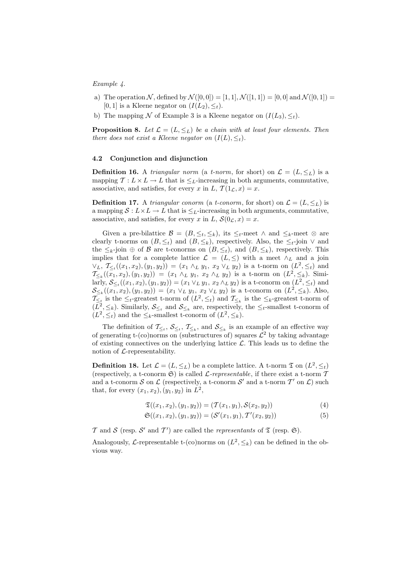#### Example 4.

- a) The operation N, defined by  $\mathcal{N}([0,0]) = [1,1], \mathcal{N}([1,1]) = [0,0]$  and  $\mathcal{N}([0,1]) =$ [0, 1] is a Kleene negator on  $(I(L_2), \leq_t)$ .
- b) The mapping N of Example 3 is a Kleene negator on  $(I(L_3), \leq_t)$ .

**Proposition 8.** Let  $\mathcal{L} = (L, \leq_L)$  be a chain with at least four elements. Then there does not exist a Kleene negator on  $(I(L), \leq_t)$ .

#### 4.2 Conjunction and disjunction

**Definition 16.** A *triangular norm* (a *t-norm*, for short) on  $\mathcal{L} = (L, \leq_L)$  is a mapping  $\mathcal{T}: L \times L \to L$  that is  $\leq_L$ -increasing in both arguments, commutative, associative, and satisfies, for every x in L,  $\mathcal{T}(1_{\mathcal{L}},x)=x$ .

**Definition 17.** A triangular conorm (a t-conorm, for short) on  $\mathcal{L} = (L, \leq_L)$  is a mapping  $S: L \times L \to L$  that is  $\leq_L$ -increasing in both arguments, commutative, associative, and satisfies, for every x in L,  $\mathcal{S}(0_{\mathcal{L}},x)=x$ .

Given a pre-bilattice  $\mathcal{B} = (B, \leq_t, \leq_k)$ , its  $\leq_t$ -meet  $\wedge$  and  $\leq_k$ -meet  $\otimes$  are clearly t-norms on  $(B, \leq_t)$  and  $(B, \leq_k)$ , respectively. Also, the  $\leq_t$ -join  $\vee$  and the  $\leq_k$ -join  $\oplus$  of  $\mathcal B$  are t-conorms on  $(B,\leq_k)$ , and  $(B,\leq_k)$ , respectively. This implies that for a complete lattice  $\mathcal{L} = (L, \leq)$  with a meet  $\wedge_L$  and a join  $\forall_L, \ T_{\leq_t}((x_1, x_2), (y_1, y_2)) = (x_1 \wedge_L y_1, x_2 \vee_L y_2)$  is a t-norm on  $(L^2, \leq_t)$  and  $\mathcal{T}_{\leq k}((x_1,x_2),(y_1,y_2)) = (x_1 \wedge_L y_1, x_2 \wedge_L y_2)$  is a t-norm on  $(L^2, \leq_k)$ . Similarly,  $S_{\leq t}((x_1, x_2), (y_1, y_2)) = (x_1 \vee_L y_1, x_2 \wedge_L y_2)$  is a t-conorm on  $(L^2, \leq_t)$  and  $\mathcal{S}_{\leq k}((x_1,x_2),(y_1,y_2)) = (x_1 \vee_L y_1, x_2 \vee_L y_2)$  is a t-conorm on  $(L^2, \leq_k)$ . Also,  $\mathcal{T}_{\leq t}$  is the  $\leq_t$ -greatest t-norm of  $(L^2, \leq_t)$  and  $\mathcal{T}_{\leq_k}$  is the  $\leq_k$ -greatest t-norm of  $(L^2, \leq_k)$ . Similarly,  $S_{\leq_k}$  and  $S_{\leq_k}$  are, respectively, the  $\leq_t$ -smallest t-conorm of  $(L^2, \leq_t)$  and the  $\leq_k$ -smallest t-conorm of  $(L^2, \leq_k)$ .

The definition of  $\mathcal{T}_{\leq t}$ ,  $\mathcal{S}_{\leq t}$ ,  $\mathcal{T}_{\leq k}$ , and  $\mathcal{S}_{\leq k}$  is an example of an effective way of generating t-(co)norms on (substructures of) squares  $\mathcal{L}^2$  by taking advantage of existing connectives on the underlying lattice  $\mathcal{L}$ . This leads us to define the notion of  $\mathcal{L}$ -representability.

**Definition 18.** Let  $\mathcal{L} = (L, \leq_L)$  be a complete lattice. A t-norm  $\mathfrak{T}$  on  $(L^2, \leq_t)$ (respectively, a t-conorm  $\mathfrak{S}$ ) is called *L*-representable, if there exist a t-norm  $\mathcal T$ and a t-conorm S on L (respectively, a t-conorm S' and a t-norm  $\mathcal{T}'$  on L) such that, for every  $(x_1, x_2), (y_1, y_2)$  in  $L^2$ ,

$$
\mathfrak{T}((x_1, x_2), (y_1, y_2)) = (\mathcal{T}(x_1, y_1), \mathcal{S}(x_2, y_2))
$$
\n(4)

$$
\mathfrak{S}((x_1, x_2), (y_1, y_2)) = (\mathcal{S}'(x_1, y_1), \mathcal{T}'(x_2, y_2))
$$
\n(5)

T and S (resp. S' and T') are called the representants of  $\mathfrak T$  (resp.  $\mathfrak S$ ).

Analogously, L-representable t-(co)norms on  $(L^2, \leq_k)$  can be defined in the obvious way.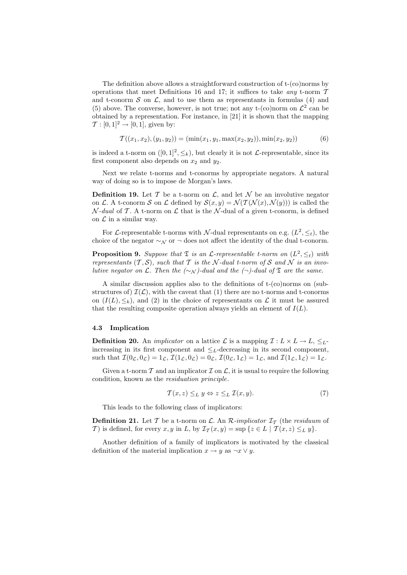The definition above allows a straightforward construction of t-(co)norms by operations that meet Definitions 16 and 17; it suffices to take any t-norm  $T$ and t-conorm  $S$  on  $\mathcal{L}$ , and to use them as representants in formulas (4) and (5) above. The converse, however, is not true; not any t-(co)norm on  $\mathcal{L}^2$  can be obtained by a representation. For instance, in [21] it is shown that the mapping  $\mathcal{T} : [0,1]^2 \rightarrow [0,1]$ , given by:

$$
\mathcal{T}((x_1, x_2), (y_1, y_2)) = (\min(x_1, y_1, \max(x_2, y_2)), \min(x_2, y_2))
$$
\n(6)

is indeed a t-norm on  $([0, 1]^2, \leq_k)$ , but clearly it is not *L*-representable, since its first component also depends on  $x_2$  and  $y_2$ .

Next we relate t-norms and t-conorms by appropriate negators. A natural way of doing so is to impose de Morgan's laws.

**Definition 19.** Let  $\mathcal T$  be a t-norm on  $\mathcal L$ , and let  $\mathcal N$  be an involutive negator on L. A t-conorm S on L defined by  $S(x, y) = \mathcal{N}(\mathcal{T}(\mathcal{N}(x), \mathcal{N}(y)))$  is called the  $\mathcal{N}\text{-}dual$  of T. A t-norm on  $\mathcal{L}$  that is the  $\mathcal{N}\text{-}dual$  of a given t-conorm, is defined on  $\mathcal L$  in a similar way.

For L-representable t-norms with N-dual representants on e.g.  $(L^2, \leq_t)$ , the choice of the negator  $\sim_N$  or  $\neg$  does not affect the identity of the dual t-conorm.

**Proposition 9.** Suppose that  $\mathfrak{T}$  is an  $\mathcal{L}$ -representable t-norm on  $(L^2, \leq_t)$  with representants  $(T, \mathcal{S})$ , such that T is the N-dual t-norm of S and N is an involutive negator on  $\mathcal L$ . Then the  $(\sim_{\mathcal N})$ -dual and the  $(\neg)$ -dual of  $\mathfrak T$  are the same.

A similar discussion applies also to the definitions of t-(co)norms on (substructures of)  $\mathcal{I}(\mathcal{L})$ , with the caveat that (1) there are no t-norms and t-conorms on  $(I(L), \leq_k)$ , and (2) in the choice of representants on L it must be assured that the resulting composite operation always yields an element of  $I(L)$ .

### 4.3 Implication

**Definition 20.** An *implicator* on a lattice  $\mathcal{L}$  is a mapping  $\mathcal{I}: L \times L \rightarrow L$ ,  $\leq_L$ increasing in its first component and  $\leq_L$ -decreasing in its second component, such that  $\mathcal{I}(0_\mathcal{L}, 0_\mathcal{L}) = 1_\mathcal{L}, \mathcal{I}(1_\mathcal{L}, 0_\mathcal{L}) = 0_\mathcal{L}, \mathcal{I}(0_\mathcal{L}, 1_\mathcal{L}) = 1_\mathcal{L}, \text{ and } \mathcal{I}(1_\mathcal{L}, 1_\mathcal{L}) = 1_\mathcal{L}.$ 

Given a t-norm  $\mathcal T$  and an implicator  $\mathcal I$  on  $\mathcal L$ , it is usual to require the following condition, known as the residuation principle.

$$
\mathcal{T}(x, z) \leq_L y \Leftrightarrow z \leq_L \mathcal{I}(x, y). \tag{7}
$$

This leads to the following class of implicators:

**Definition 21.** Let T be a t-norm on L. An R-implicator  $\mathcal{I}_{\mathcal{T}}$  (the residuum of T) is defined, for every x, y in L, by  $\mathcal{I}_{\mathcal{T}}(x, y) = \sup \{z \in L \mid \mathcal{T}(x, z) \leq_L y\}.$ 

Another definition of a family of implicators is motivated by the classical definition of the material implication  $x \to y$  as  $\neg x \lor y$ .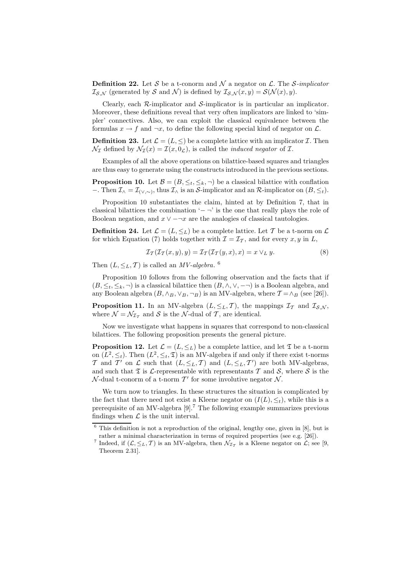**Definition 22.** Let S be a t-conorm and N a negator on L. The S-implicator  $\mathcal{I}_{\mathcal{S},\mathcal{N}}$  (generated by  $\mathcal{S}$  and  $\mathcal{N}$ ) is defined by  $\mathcal{I}_{\mathcal{S},\mathcal{N}}(x,y) = \mathcal{S}(\mathcal{N}(x), y)$ .

Clearly, each  $\mathcal{R}$ -implicator and  $\mathcal{S}$ -implicator is in particular an implicator. Moreover, these definitions reveal that very often implicators are linked to 'simpler' connectives. Also, we can exploit the classical equivalence between the formulas  $x \to f$  and  $\neg x$ , to define the following special kind of negator on  $\mathcal{L}$ .

**Definition 23.** Let  $\mathcal{L} = (L, \leq)$  be a complete lattice with an implicator  $\mathcal{I}$ . Then  $\mathcal{N}_{\mathcal{I}}$  defined by  $\mathcal{N}_{\mathcal{I}}(x) = \mathcal{I}(x, 0_{\mathcal{L}})$ , is called the *induced negator* of  $\mathcal{I}$ .

Examples of all the above operations on bilattice-based squares and triangles are thus easy to generate using the constructs introduced in the previous sections.

**Proposition 10.** Let  $\mathcal{B} = (B, \leq_t, \leq_k, \neg)$  be a classical bilattice with conflation −. Then  $\mathcal{I}_{\wedge} = \mathcal{I}_{(\vee,\sim)}$ , thus  $\mathcal{I}_{\wedge}$  is an S-implicator and an R-implicator on  $(B, \leq_t)$ .

Proposition 10 substantiates the claim, hinted at by Definition 7, that in classical bilattices the combination ' $-$  ¬' is the one that really plays the role of Boolean negation, and  $x \vee -\neg x$  are the analogies of classical tautologies.

**Definition 24.** Let  $\mathcal{L} = (L, \leq_L)$  be a complete lattice. Let T be a t-norm on  $\mathcal{L}$ for which Equation (7) holds together with  $\mathcal{I} = \mathcal{I}_{\mathcal{T}}$ , and for every x, y in L,

$$
\mathcal{I}_{\mathcal{T}}(\mathcal{I}_{\mathcal{T}}(x,y),y) = \mathcal{I}_{\mathcal{T}}(\mathcal{I}_{\mathcal{T}}(y,x),x) = x \vee_L y.
$$
 (8)

Then  $(L, \leq_L, T)$  is called an *MV-algebra*. <sup>6</sup>

Proposition 10 follows from the following observation and the facts that if  $(B, \leq_t, \leq_k, \neg)$  is a classical bilattice then  $(B, \wedge, \vee, \neg \neg)$  is a Boolean algebra, and any Boolean algebra  $(B, \wedge_B, \vee_B, \neg_B)$  is an MV-algebra, where  $\mathcal{T} = \wedge_B$  (see [26]).

**Proposition 11.** In an MV-algebra  $(L, \leq_L, T)$ , the mappings  $\mathcal{I}_T$  and  $\mathcal{I}_{S,N}$ , where  $\mathcal{N} = \mathcal{N}_{\mathcal{I}_{\mathcal{T}}}$  and  $\mathcal{S}$  is the  $\mathcal{N}$ -dual of  $\mathcal{T}$ , are identical.

Now we investigate what happens in squares that correspond to non-classical bilattices. The following proposition presents the general picture.

**Proposition 12.** Let  $\mathcal{L} = (L, \leq_L)$  be a complete lattice, and let  $\mathfrak{T}$  be a t-norm on  $(L^2, \leq_t)$ . Then  $(L^2, \leq_t, \mathfrak{T})$  is an MV-algebra if and only if there exist t-norms T and T' on  $\mathcal L$  such that  $(L, \leq_L, T)$  and  $(L, \leq_L, T')$  are both MV-algebras, and such that  $\mathfrak T$  is L-representable with representants  $\mathcal T$  and  $\mathcal S$ , where  $\mathcal S$  is the  $\mathcal{N}$ -dual t-conorm of a t-norm  $\mathcal{T}'$  for some involutive negator  $\mathcal{N}$ .

We turn now to triangles. In these structures the situation is complicated by the fact that there need not exist a Kleene negator on  $(I(L), \leq_t)$ , while this is a prerequisite of an MV-algebra  $[9]$ .<sup>7</sup> The following example summarizes previous findings when  $\mathcal L$  is the unit interval.

 $6$  This definition is not a reproduction of the original, lengthy one, given in [8], but is rather a minimal characterization in terms of required properties (see e.g. [26]).

<sup>&</sup>lt;sup>7</sup> Indeed, if  $(\mathcal{L}, \leq_L, \mathcal{T})$  is an MV-algebra, then  $\mathcal{N}_{\mathcal{I}_{\mathcal{T}}}$  is a Kleene negator on  $\mathcal{L}$ ; see [9, Theorem 2.31].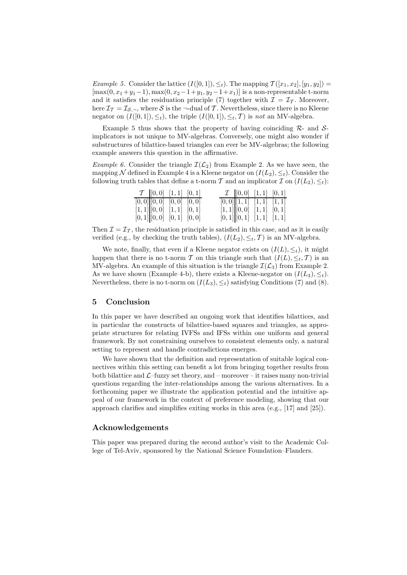*Example 5.* Consider the lattice  $(I([0, 1]), \leq_t)$ . The mapping  $\mathcal{T}([x_1, x_2], [y_1, y_2]) =$  $[\max(0, x_1+y_1-1), \max(0, x_2-1+y_1, y_2-1+x_1)]$  is a non-representable t-norm and it satisfies the residuation principle (7) together with  $\mathcal{I} = \mathcal{I}_{\mathcal{T}}$ . Moreover, here  $\mathcal{I}_{\mathcal{T}} = \mathcal{I}_{\mathcal{S}, \neg}$ , where  $\mathcal{S}$  is the  $\neg$ -dual of  $\mathcal{T}$ . Nevertheless, since there is no Kleene negator on  $(I([0, 1]), \leq_t)$ , the triple  $(I([0, 1]), \leq_t, T)$  is not an MV-algebra.

Example 5 thus shows that the property of having coinciding  $\mathcal{R}_-$  and  $\mathcal{S}_$ implicators is not unique to MV-algebras. Conversely, one might also wonder if substructures of bilattice-based triangles can ever be MV-algebras; the following example answers this question in the affirmative.

*Example 6.* Consider the triangle  $\mathcal{I}(\mathcal{L}_2)$  from Example 2. As we have seen, the mapping N defined in Example 4 is a Kleene negator on  $(I(L_2), \leq_t)$ . Consider the following truth tables that define a t-norm T and an implicator  $\mathcal I$  on  $(I(L_2), \leq_t)$ :

|                                 | $\mathcal{T}$ [0,0] [1,1] [0,1]                                                                                                |  |  | $\mathcal{I} \begin{bmatrix} 0,0 \end{bmatrix}$ $[1,1] \begin{bmatrix} 0,1 \end{bmatrix}$ |  |
|---------------------------------|--------------------------------------------------------------------------------------------------------------------------------|--|--|-------------------------------------------------------------------------------------------|--|
|                                 | $\overline{[0,0]}$ $\begin{bmatrix} 0,0 \end{bmatrix}$ $\begin{bmatrix} 0,0 \end{bmatrix}$ $\begin{bmatrix} 0,0 \end{bmatrix}$ |  |  | [0,0][[1,1] [1,1] [1,1]                                                                   |  |
|                                 | $[1, 1]$ $[0, 0]$ $[1, 1]$ $[0, 1]$                                                                                            |  |  | $[1,1][0,0]$ $[1,1]$ $[0,1]$                                                              |  |
| $[0,1]$ $[0,0]$ $[0,1]$ $[0,0]$ |                                                                                                                                |  |  | $[0,1]$ $[0,1]$ $[1,1]$ $[1,1]$                                                           |  |

Then  $\mathcal{I} = \mathcal{I}_{\mathcal{T}}$ , the residuation principle is satisfied in this case, and as it is easily verified (e.g., by checking the truth tables),  $(I(L_2), \leq_t, \mathcal{T})$  is an MV-algebra.

We note, finally, that even if a Kleene negator exists on  $(I(L), \leq_t)$ , it might happen that there is no t-norm T on this triangle such that  $(I(L), \leq_t, T)$  is an MV-algebra. An example of this situation is the triangle  $\mathcal{I}(\mathcal{L}_3)$  from Example 2. As we have shown (Example 4-b), there exists a Kleene-negator on  $(I(L_3), \leq_t)$ . Nevertheless, there is no t-norm on  $(I(L_3), \leq_t)$  satisfying Conditions (7) and (8).

# 5 Conclusion

In this paper we have described an ongoing work that identifies bilattices, and in particular the constructs of bilattice-based squares and triangles, as appropriate structures for relating IVFSs and IFSs within one uniform and general framework. By not constraining ourselves to consistent elements only, a natural setting to represent and handle contradictions emerges.

We have shown that the definition and representation of suitable logical connectives within this setting can benefit a lot from bringing together results from both bilattice and  $\mathcal{L}$ –fuzzy set theory, and – moreover – it raises many non-trivial questions regarding the inter-relationships among the various alternatives. In a forthcoming paper we illustrate the application potential and the intuitive appeal of our framework in the context of preference modeling, showing that our approach clarifies and simplifies exiting works in this area (e.g., [17] and [25]).

### Acknowledgements

This paper was prepared during the second author's visit to the Academic College of Tel-Aviv, sponsored by the National Science Foundation–Flanders.